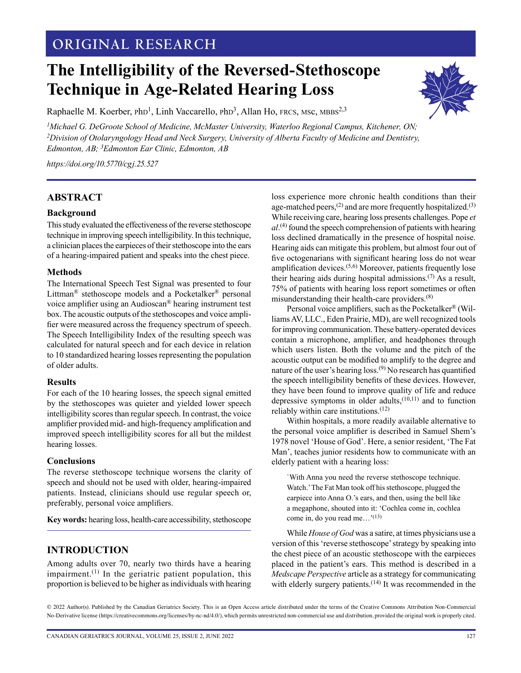# **ORIGINAL RESEARCH**

# **The Intelligibility of the Reversed-Stethoscope Technique in Age-Related Hearing Loss**



Raphaelle M. Koerber,  $phD<sup>1</sup>$ , Linh Vaccarello,  $phD<sup>3</sup>$ , Allan Ho, FRCS, MSc, MBBS<sup>2,3</sup>

*1 Michael G. DeGroote School of Medicine, McMaster University, Waterloo Regional Campus, Kitchener, ON; 2Division of Otolaryngology Head and Neck Surgery, University of Alberta Faculty of Medicine and Dentistry, Edmonton, AB; 3Edmonton Ear Clinic, Edmonton, AB*

*<https://doi.org/10.5770/cgj.25.527>*

## **ABSTRACT**

#### **Background**

This study evaluated the effectiveness of the reverse stethoscope technique in improving speech intelligibility. In this technique, a clinician places the earpieces of their stethoscope into the ears of a hearing-impaired patient and speaks into the chest piece.

#### **Methods**

The International Speech Test Signal was presented to four Littman® stethoscope models and a Pocketalker® personal voice amplifier using an Audioscan® hearing instrument test box. The acoustic outputs of the stethoscopes and voice amplifier were measured across the frequency spectrum of speech. The Speech Intelligibility Index of the resulting speech was calculated for natural speech and for each device in relation to 10 standardized hearing losses representing the population of older adults.

#### **Results**

For each of the 10 hearing losses, the speech signal emitted by the stethoscopes was quieter and yielded lower speech intelligibility scores than regular speech. In contrast, the voice amplifier provided mid- and high-frequency amplification and improved speech intelligibility scores for all but the mildest hearing losses.

#### **Conclusions**

The reverse stethoscope technique worsens the clarity of speech and should not be used with older, hearing-impaired patients. Instead, clinicians should use regular speech or, preferably, personal voice amplifiers.

**Key words:** hearing loss, health-care accessibility, stethoscope

#### **INTRODUCTION**

Among adults over 70, nearly two thirds have a hearing impairment. $(1)$  In the geriatric patient population, this proportion is believed to be higher as individuals with hearing loss experience more chronic health conditions than their age-matched peers, $(2)$  and are more frequently hospitalized.<sup>(3)</sup> While receiving care, hearing loss presents challenges. Pope *et al*. (4) found the speech comprehension of patients with hearing loss declined dramatically in the presence of hospital noise. Hearing aids can mitigate this problem, but almost four out of five octogenarians with significant hearing loss do not wear amplification devices.(5,6) Moreover, patients frequently lose their hearing aids during hospital admissions.<sup> $(7)$ </sup> As a result, 75% of patients with hearing loss report sometimes or often misunderstanding their health-care providers.(8)

Personal voice amplifiers, such as the Pocketalker® (Williams AV, LLC., Eden Prairie, MD), are well recognized tools for improving communication. These battery-operated devices contain a microphone, amplifier, and headphones through which users listen. Both the volume and the pitch of the acoustic output can be modified to amplify to the degree and nature of the user's hearing loss.(9) No research has quantified the speech intelligibility benefits of these devices. However, they have been found to improve quality of life and reduce depressive symptoms in older adults, $(10,11)$  and to function reliably within care institutions.(12)

Within hospitals, a more readily available alternative to the personal voice amplifier is described in Samuel Shem's 1978 novel 'House of God'. Here, a senior resident, 'The Fat Man', teaches junior residents how to communicate with an elderly patient with a hearing loss:

`With Anna you need the reverse stethoscope technique. Watch.' The Fat Man took off his stethoscope, plugged the earpiece into Anna O.'s ears, and then, using the bell like a megaphone, shouted into it: 'Cochlea come in, cochlea come in, do you read me…'(13)

While *House of God* was a satire, at times physicians use a version of this 'reverse stethoscope' strategy by speaking into the chest piece of an acoustic stethoscope with the earpieces placed in the patient's ears. This method is described in a *Medscape Perspective* article as a strategy for communicating with elderly surgery patients.<sup>(14)</sup> It was recommended in the

© 2022 Author(s). Published by the Canadian Geriatrics Society. This is an Open Access article distributed under the terms of the Creative Commons Attribution Non-Commercial No-Derivative license (https://creativecommons.org/licenses/by-nc-nd/4.0/), which permits unrestricted non-commercial use and distribution, provided the original work is properly cited.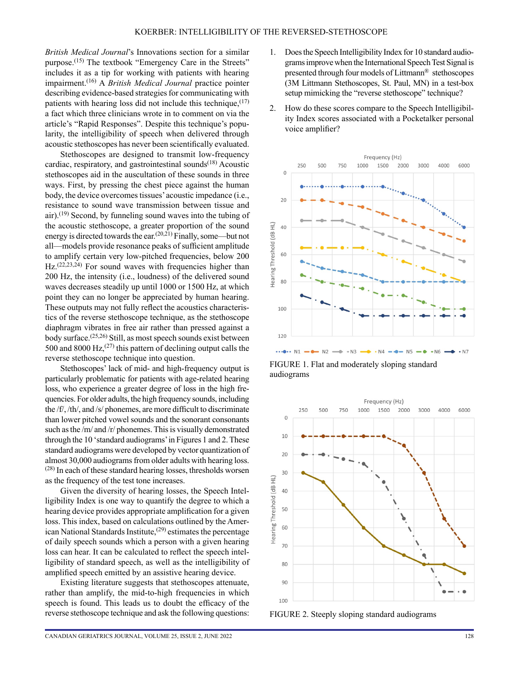*British Medical Journal*'s Innovations section for a similar purpose.<sup>(15)</sup> The textbook "Emergency Care in the Streets" includes it as a tip for working with patients with hearing impairment.(16) A *British Medical Journal* practice pointer describing evidence-based strategies for communicating with patients with hearing loss did not include this technique, (17) a fact which three clinicians wrote in to comment on via the article's "Rapid Responses". Despite this technique's popularity, the intelligibility of speech when delivered through acoustic stethoscopes has never been scientifically evaluated.

Stethoscopes are designed to transmit low-frequency cardiac, respiratory, and gastrointestinal sounds $(18)$  Acoustic stethoscopes aid in the auscultation of these sounds in three ways. First, by pressing the chest piece against the human body, the device overcomes tissues' acoustic impedance (i.e., resistance to sound wave transmission between tissue and air).<sup>(19)</sup> Second, by funneling sound waves into the tubing of the acoustic stethoscope, a greater proportion of the sound energy is directed towards the ear.(20,21) Finally, some—but not all—models provide resonance peaks of sufficient amplitude to amplify certain very low-pitched frequencies, below 200 Hz.<sup>(22,23,24)</sup> For sound waves with frequencies higher than 200 Hz, the intensity (i.e., loudness) of the delivered sound waves decreases steadily up until 1000 or 1500 Hz, at which point they can no longer be appreciated by human hearing. These outputs may not fully reflect the acoustics characteristics of the reverse stethoscope technique, as the stethoscope diaphragm vibrates in free air rather than pressed against a body surface.(25,26) Still, as most speech sounds exist between 500 and 8000 Hz, $(27)$  this pattern of declining output calls the reverse stethoscope technique into question.

Stethoscopes' lack of mid- and high-frequency output is particularly problematic for patients with age-related hearing loss, who experience a greater degree of loss in the high frequencies. For older adults, the high frequency sounds, including the /f/, /th/, and /s/ phonemes, are more difficult to discriminate than lower pitched vowel sounds and the sonorant consonants such as the /m/ and /r/ phonemes. This is visually demonstrated through the 10 'standard audiograms' in Figures 1 and 2. These standard audiograms were developed by vector quantization of almost 30,000 audiograms from older adults with hearing loss.  $(28)$  In each of these standard hearing losses, thresholds worsen as the frequency of the test tone increases.

Given the diversity of hearing losses, the Speech Intelligibility Index is one way to quantify the degree to which a hearing device provides appropriate amplification for a given loss. This index, based on calculations outlined by the American National Standards Institute,<sup> $(29)$ </sup> estimates the percentage of daily speech sounds which a person with a given hearing loss can hear. It can be calculated to reflect the speech intelligibility of standard speech, as well as the intelligibility of amplified speech emitted by an assistive hearing device.

Existing literature suggests that stethoscopes attenuate, rather than amplify, the mid-to-high frequencies in which speech is found. This leads us to doubt the efficacy of the reverse stethoscope technique and ask the following questions:

- 1. Does the Speech Intelligibility Index for 10 standard audiograms improve when the International Speech Test Signal is presented through four models of Littmann® stethoscopes (3M Littmann Stethoscopes, St. Paul, MN) in a test-box setup mimicking the "reverse stethoscope" technique?
- 2. How do these scores compare to the Speech Intelligibility Index scores associated with a Pocketalker personal voice amplifier?



FIGURE 1. Flat and moderately sloping standard audiograms



FIGURE 2. Steeply sloping standard audiograms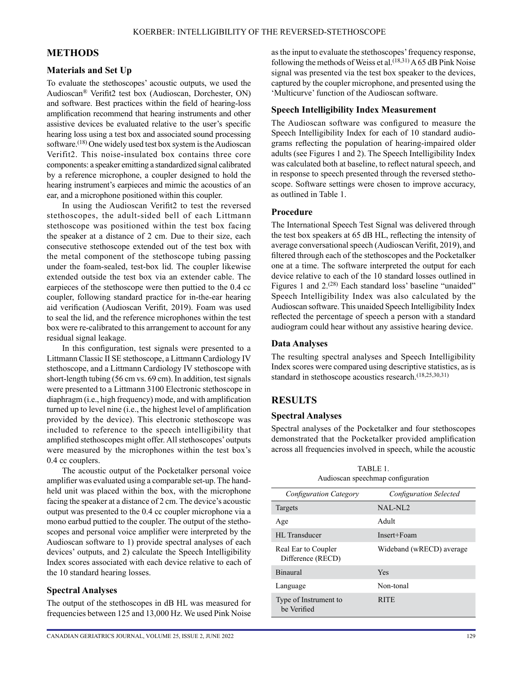# **METHODS**

#### **Materials and Set Up**

To evaluate the stethoscopes' acoustic outputs, we used the Audioscan® Verifit2 test box (Audioscan, Dorchester, ON) and software. Best practices within the field of hearing-loss amplification recommend that hearing instruments and other assistive devices be evaluated relative to the user's specific hearing loss using a test box and associated sound processing software.<sup>(18)</sup> One widely used test box system is the Audioscan Verifit2. This noise-insulated box contains three core components: a speaker emitting a standardized signal calibrated by a reference microphone, a coupler designed to hold the hearing instrument's earpieces and mimic the acoustics of an ear, and a microphone positioned within this coupler.

In using the Audioscan Verifit2 to test the reversed stethoscopes, the adult-sided bell of each Littmann stethoscope was positioned within the test box facing the speaker at a distance of 2 cm. Due to their size, each consecutive stethoscope extended out of the test box with the metal component of the stethoscope tubing passing under the foam-sealed, test-box lid. The coupler likewise extended outside the test box via an extender cable. The earpieces of the stethoscope were then puttied to the 0.4 cc coupler, following standard practice for in-the-ear hearing aid verification (Audioscan Verifit, 2019). Foam was used to seal the lid, and the reference microphones within the test box were re-calibrated to this arrangement to account for any residual signal leakage.

In this configuration, test signals were presented to a Littmann Classic II SE stethoscope, a Littmann Cardiology IV stethoscope, and a Littmann Cardiology IV stethoscope with short-length tubing (56 cm vs. 69 cm). In addition, test signals were presented to a Littmann 3100 Electronic stethoscope in diaphragm (i.e., high frequency) mode, and with amplification turned up to level nine (i.e., the highest level of amplification provided by the device). This electronic stethoscope was included to reference to the speech intelligibility that amplified stethoscopes might offer. All stethoscopes' outputs were measured by the microphones within the test box's 0.4 cc couplers.

The acoustic output of the Pocketalker personal voice amplifier was evaluated using a comparable set-up. The handheld unit was placed within the box, with the microphone facing the speaker at a distance of 2 cm. The device's acoustic output was presented to the 0.4 cc coupler microphone via a mono earbud puttied to the coupler. The output of the stethoscopes and personal voice amplifier were interpreted by the Audioscan software to 1) provide spectral analyses of each devices' outputs, and 2) calculate the Speech Intelligibility Index scores associated with each device relative to each of the 10 standard hearing losses.

## **Spectral Analyses**

The output of the stethoscopes in dB HL was measured for frequencies between 125 and 13,000 Hz. We used Pink Noise

as the input to evaluate the stethoscopes' frequency response, following the methods of Weiss et al.<sup> $(18,31)$ </sup> A 65 dB Pink Noise signal was presented via the test box speaker to the devices, captured by the coupler microphone, and presented using the 'Multicurve' function of the Audioscan software.

### **Speech Intelligibility Index Measurement**

The Audioscan software was configured to measure the Speech Intelligibility Index for each of 10 standard audiograms reflecting the population of hearing-impaired older adults (see Figures 1 and 2). The Speech Intelligibility Index was calculated both at baseline, to reflect natural speech, and in response to speech presented through the reversed stethoscope. Software settings were chosen to improve accuracy, as outlined in Table 1.

#### **Procedure**

The International Speech Test Signal was delivered through the test box speakers at 65 dB HL, reflecting the intensity of average conversational speech (Audioscan Verifit, 2019), and filtered through each of the stethoscopes and the Pocketalker one at a time. The software interpreted the output for each device relative to each of the 10 standard losses outlined in Figures 1 and 2.<sup>(28)</sup> Each standard loss' baseline "unaided" Speech Intelligibility Index was also calculated by the Audioscan software. This unaided Speech Intelligibility Index reflected the percentage of speech a person with a standard audiogram could hear without any assistive hearing device.

#### **Data Analyses**

The resulting spectral analyses and Speech Intelligibility Index scores were compared using descriptive statistics, as is standard in stethoscope acoustics research.<sup>(18,25,30,31)</sup>

# **RESULTS**

#### **Spectral Analyses**

Spectral analyses of the Pocketalker and four stethoscopes demonstrated that the Pocketalker provided amplification across all frequencies involved in speech, while the acoustic

| TABLE 1.                          |
|-----------------------------------|
| Audioscan speechmap configuration |

| <b>Configuration Category</b>            | <b>Configuration Selected</b> |
|------------------------------------------|-------------------------------|
| Targets                                  | $NAI$ -NI 2                   |
| Age                                      | Adult                         |
| HL Transducer                            | Insert+Foam                   |
| Real Ear to Coupler<br>Difference (RECD) | Wideband (wRECD) average      |
| <b>Binaural</b>                          | Yes                           |
| Language                                 | Non-tonal                     |
| Type of Instrument to<br>be Verified     | <b>RITE</b>                   |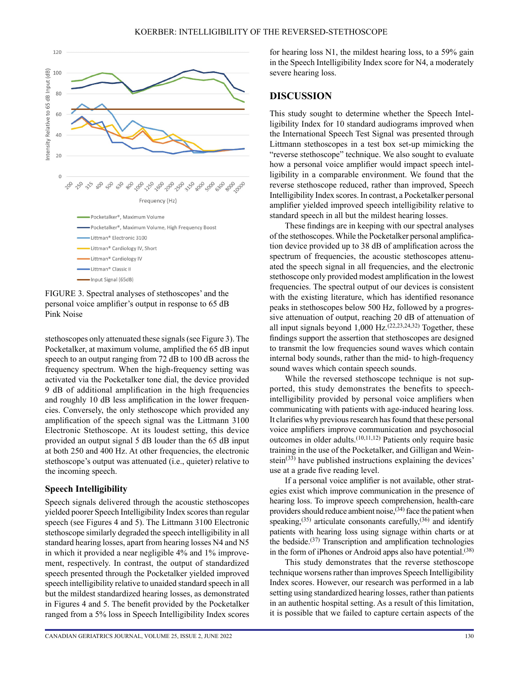

FIGURE 3. Spectral analyses of stethoscopes' and the personal voice amplifier's output in response to 65 dB Pink Noise

stethoscopes only attenuated these signals (see Figure 3). The Pocketalker, at maximum volume, amplified the 65 dB input speech to an output ranging from 72 dB to 100 dB across the frequency spectrum. When the high-frequency setting was activated via the Pocketalker tone dial, the device provided 9 dB of additional amplification in the high frequencies and roughly 10 dB less amplification in the lower frequencies. Conversely, the only stethoscope which provided any amplification of the speech signal was the Littmann 3100 Electronic Stethoscope. At its loudest setting, this device provided an output signal 5 dB louder than the 65 dB input at both 250 and 400 Hz. At other frequencies, the electronic stethoscope's output was attenuated (i.e., quieter) relative to the incoming speech.

## **Speech Intelligibility**

Speech signals delivered through the acoustic stethoscopes yielded poorer Speech Intelligibility Index scores than regular speech (see Figures 4 and 5). The Littmann 3100 Electronic stethoscope similarly degraded the speech intelligibility in all standard hearing losses, apart from hearing losses N4 and N5 in which it provided a near negligible 4% and 1% improvement, respectively. In contrast, the output of standardized speech presented through the Pocketalker yielded improved speech intelligibility relative to unaided standard speech in all but the mildest standardized hearing losses, as demonstrated in Figures 4 and 5. The benefit provided by the Pocketalker ranged from a 5% loss in Speech Intelligibility Index scores

for hearing loss N1, the mildest hearing loss, to a 59% gain in the Speech Intelligibility Index score for N4, a moderately severe hearing loss.

# **DISCUSSION**

This study sought to determine whether the Speech Intelligibility Index for 10 standard audiograms improved when the International Speech Test Signal was presented through Littmann stethoscopes in a test box set-up mimicking the "reverse stethoscope" technique. We also sought to evaluate how a personal voice amplifier would impact speech intelligibility in a comparable environment. We found that the reverse stethoscope reduced, rather than improved, Speech Intelligibility Index scores. In contrast, a Pocketalker personal amplifier yielded improved speech intelligibility relative to standard speech in all but the mildest hearing losses.

These findings are in keeping with our spectral analyses of the stethoscopes. While the Pocketalker personal amplification device provided up to 38 dB of amplification across the spectrum of frequencies, the acoustic stethoscopes attenuated the speech signal in all frequencies, and the electronic stethoscope only provided modest amplification in the lowest frequencies. The spectral output of our devices is consistent with the existing literature, which has identified resonance peaks in stethoscopes below 500 Hz, followed by a progressive attenuation of output, reaching 20 dB of attenuation of all input signals beyond  $1,000 \text{ Hz}$ .  $(22,23,24,32)$  Together, these findings support the assertion that stethoscopes are designed to transmit the low frequencies sound waves which contain internal body sounds, rather than the mid- to high-frequency sound waves which contain speech sounds.

While the reversed stethoscope technique is not supported, this study demonstrates the benefits to speechintelligibility provided by personal voice amplifiers when communicating with patients with age-induced hearing loss. It clarifies why previous research has found that these personal voice amplifiers improve communication and psychosocial outcomes in older adults.(10,11,12) Patients only require basic training in the use of the Pocketalker, and Gilligan and Weinstein $(33)$  have published instructions explaining the devices' use at a grade five reading level.

If a personal voice amplifier is not available, other strategies exist which improve communication in the presence of hearing loss. To improve speech comprehension, health-care providers should reduce ambient noise,(34) face the patient when speaking,<sup>(35)</sup> articulate consonants carefully,<sup>(36)</sup> and identify patients with hearing loss using signage within charts or at the bedside.<sup>(37)</sup> Transcription and amplification technologies in the form of iPhones or Android apps also have potential.<sup>(38)</sup>

This study demonstrates that the reverse stethoscope technique worsens rather than improves Speech Intelligibility Index scores. However, our research was performed in a lab setting using standardized hearing losses, rather than patients in an authentic hospital setting. As a result of this limitation, it is possible that we failed to capture certain aspects of the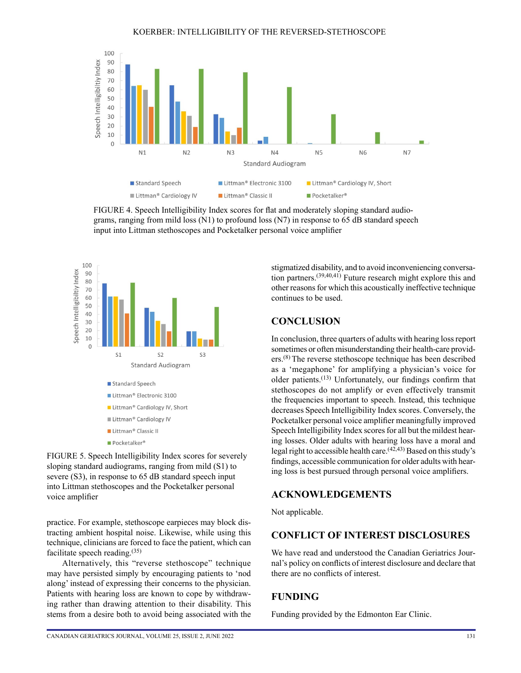

FIGURE 4. Speech Intelligibility Index scores for flat and moderately sloping standard audiograms, ranging from mild loss (N1) to profound loss (N7) in response to 65 dB standard speech input into Littman stethoscopes and Pocketalker personal voice amplifier



FIGURE 5. Speech Intelligibility Index scores for severely sloping standard audiograms, ranging from mild (S1) to severe (S3), in response to 65 dB standard speech input into Littman stethoscopes and the Pocketalker personal voice amplifier

practice. For example, stethoscope earpieces may block distracting ambient hospital noise. Likewise, while using this technique, clinicians are forced to face the patient, which can facilitate speech reading.(35)

Alternatively, this "reverse stethoscope" technique may have persisted simply by encouraging patients to 'nod along' instead of expressing their concerns to the physician. Patients with hearing loss are known to cope by withdrawing rather than drawing attention to their disability. This stems from a desire both to avoid being associated with the stigmatized disability, and to avoid inconveniencing conversation partners.(39,40,41) Future research might explore this and other reasons for which this acoustically ineffective technique continues to be used.

## **CONCLUSION**

In conclusion, three quarters of adults with hearing loss report sometimes or often misunderstanding their health-care providers.(8) The reverse stethoscope technique has been described as a 'megaphone' for amplifying a physician's voice for older patients.(13) Unfortunately, our findings confirm that stethoscopes do not amplify or even effectively transmit the frequencies important to speech. Instead, this technique decreases Speech Intelligibility Index scores. Conversely, the Pocketalker personal voice amplifier meaningfully improved Speech Intelligibility Index scores for all but the mildest hearing losses. Older adults with hearing loss have a moral and legal right to accessible health care.(42,43) Based on this study's findings, accessible communication for older adults with hearing loss is best pursued through personal voice amplifiers.

# **ACKNOWLEDGEMENTS**

Not applicable.

# **CONFLICT OF INTEREST DISCLOSURES**

We have read and understood the Canadian Geriatrics Journal's policy on conflicts of interest disclosure and declare that there are no conflicts of interest.

## **FUNDING**

Funding provided by the Edmonton Ear Clinic.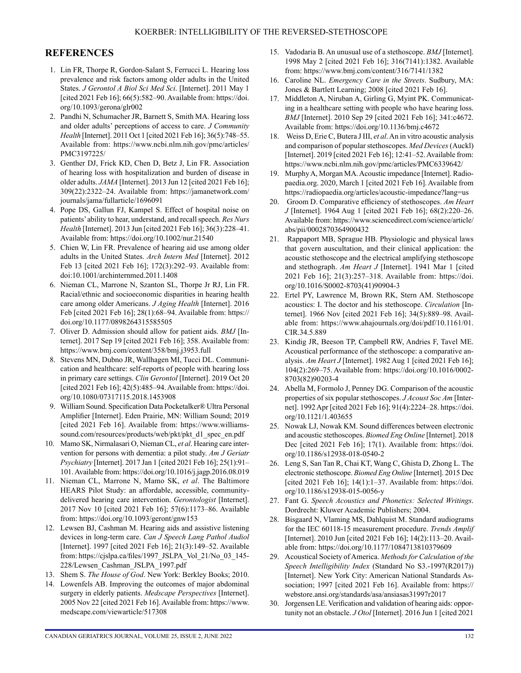# **REFERENCES**

- 1. Lin FR, Thorpe R, Gordon-Salant S, Ferrucci L. Hearing loss prevalence and risk factors among older adults in the United States. *J Gerontol A Biol Sci Med Sci*. [Internet]. 2011 May 1 [cited 2021 Feb 16]; 66(5):582–90. Available from: [https://doi.](https://doi.org/10.1093/gerona/glr002) [org/10.1093/gerona/glr002](https://doi.org/10.1093/gerona/glr002)
- 2. Pandhi N, Schumacher JR, Barnett S, Smith MA. Hearing loss and older adults' perceptions of access to care. *J Community Health* [Internet]. 2011 Oct 1 [cited 2021 Feb 16]; 36(5):748–55. Available from: [https://www.ncbi.nlm.nih.gov/pmc/articles/](https://www.ncbi.nlm.nih.gov/pmc/articles/PMC3197225/) [PMC3197225/](https://www.ncbi.nlm.nih.gov/pmc/articles/PMC3197225/)
- 3. Genther DJ, Frick KD, Chen D, Betz J, Lin FR. Association of hearing loss with hospitalization and burden of disease in older adults. *JAMA* [Internet]. 2013 Jun 12 [cited 2021 Feb 16]; 309(22):2322–24. Available from: [https://jamanetwork.com/](https://jamanetwork.com/journals/jama/fullarticle/1696091) [journals/jama/fullarticle/1696091](https://jamanetwork.com/journals/jama/fullarticle/1696091)
- 4. Pope DS, Gallun FJ, Kampel S. Effect of hospital noise on patients' ability to hear, understand, and recall speech. *Res Nurs Health* [Internet]. 2013 Jun [cited 2021 Feb 16]; 36(3):228–41. Available from: <https://doi.org/10.1002/nur.21540>
- 5. Chien W, Lin FR. Prevalence of hearing aid use among older adults in the United States. *Arch Intern Med* [Internet]. 2012 Feb 13 [cited 2021 Feb 16]; 172(3):292–93. Available from: doi:10.1001/archinternmed.2011.1408
- 6. Nieman CL, Marrone N, Szanton SL, Thorpe Jr RJ, Lin FR. Racial/ethnic and socioeconomic disparities in hearing health care among older Americans. *J Aging Health* [Internet]. 2016 Feb [cited 2021 Feb 16]; 28(1):68–94. Available from: [https://](https://doi.org/10.1177/0898264315585505) [doi.org/10.1177/0898264315585505](https://doi.org/10.1177/0898264315585505)
- 7. Oliver D. Admission should allow for patient aids. *BMJ* [Internet]. 2017 Sep 19 [cited 2021 Feb 16]; 358. Available from: <https://www.bmj.com/content/358/bmj.j3953.full>
- 8. Stevens MN, Dubno JR, Wallhagen MI, Tucci DL. Communication and healthcare: self-reports of people with hearing loss in primary care settings. *Clin Gerontol* [Internet]. 2019 Oct 20 [cited 2021 Feb 16]; 42(5):485–94. Available from: [https://doi.](https://doi.org/10.1080/07317115.2018.1453908) [org/10.1080/07317115.2018.1453908](https://doi.org/10.1080/07317115.2018.1453908)
- 9. William Sound. Specification Data Pocketalker® Ultra Personal Amplifier [Internet]. Eden Prairie, MN: William Sound; 2019 [cited 2021 Feb 16]. Available from: [https://www.williams](https://www.williamssound.com/resources/products/web/pkt/pkt_d1_spec_en.pdf)[sound.com/resources/products/web/pkt/pkt\\_d1\\_spec\\_en.pdf](https://www.williamssound.com/resources/products/web/pkt/pkt_d1_spec_en.pdf)
- 10. Mamo SK, Nirmalasari O, Nieman CL, *et al*. Hearing care intervention for persons with dementia: a pilot study. *Am J Geriatr Psychiatry* [Internet]. 2017 Jan 1 [cited 2021 Feb 16]; 25(1):91– 101. Available from: <https://doi.org/10.1016/j.jagp.2016.08.019>
- 11. Nieman CL, Marrone N, Mamo SK, *et al*. The Baltimore HEARS Pilot Study: an affordable, accessible, communitydelivered hearing care intervention. *Gerontologist* [Internet]. 2017 Nov 10 [cited 2021 Feb 16]; 57(6):1173–86. Available from:<https://doi.org/10.1093/geront/gnw153>
- 12. Lewsen BJ, Cashman M. Hearing aids and assistive listening devices in long-term care. *Can J Speech Lang Pathol Audiol* [Internet]. 1997 [cited 2021 Feb 16]; 21(3):149–52. Available from: [https://cjslpa.ca/files/1997\\_JSLPA\\_Vol\\_21/No\\_03\\_145-](https://cjslpa.ca/files/1997_JSLPA_Vol_21/No_03_145-228/Lewsen_Cashman_JSLPA_1997.pdf) [228/Lewsen\\_Cashman\\_JSLPA\\_1997.pdf](https://cjslpa.ca/files/1997_JSLPA_Vol_21/No_03_145-228/Lewsen_Cashman_JSLPA_1997.pdf)
- 13. Shem S. *The House of God*. New York: Berkley Books; 2010.
- 14. Lowenfels AB. Improving the outcomes of major abdominal surgery in elderly patients. *Medscape Perspectives* [Internet]. 2005 Nov 22 [cited 2021 Feb 16]. Available from: [https://www.](https://www.medscape.com/viewarticle/517308) [medscape.com/viewarticle/517308](https://www.medscape.com/viewarticle/517308)
- 15. Vadodaria B. An unusual use of a stethoscope. *BMJ* [Internet]. 1998 May 2 [cited 2021 Feb 16]; 316(7141):1382. Available from: <https://www.bmj.com/content/316/7141/1382>
- 16. Caroline NL. *Emergency Care in the Streets*. Sudbury, MA: Jones & Bartlett Learning; 2008 [cited 2021 Feb 16].
- 17. Middleton A, Niruban A, Girling G, Myint PK. Communicating in a healthcare setting with people who have hearing loss. *BMJ* [Internet]. 2010 Sep 29 [cited 2021 Feb 16]; 341:c4672. Available from: <https://doi.org/10.1136/bmj.c4672>
- 18. Weiss D, Erie C, Butera J III, *et al*. An in vitro acoustic analysis and comparison of popular stethoscopes. *Med Devices* (Auckl) [Internet]. 2019 [cited 2021 Feb 16]; 12:41–52. Available from: <https://www.ncbi.nlm.nih.gov/pmc/articles/PMC6339642/>
- 19. Murphy A, Morgan MA. Acoustic impedance [Internet]. Radiopaedia.org. 2020, March 1 [cited 2021 Feb 16]. Available from <https://radiopaedia.org/articles/acoustic-impedance?lang=us>
- 20. Groom D. Comparative efficiency of stethoscopes. *Am Heart J* [Internet]. 1964 Aug 1 [cited 2021 Feb 16]; 68(2):220–26. Available from: [https://www.sciencedirect.com/science/article/](https://www.sciencedirect.com/science/article/abs/pii/0002870364900432) [abs/pii/0002870364900432](https://www.sciencedirect.com/science/article/abs/pii/0002870364900432)
- 21. Rappaport MB, Sprague HB. Physiologic and physical laws that govern auscultation, and their clinical application: the acoustic stethoscope and the electrical amplifying stethoscope and stethograph. *Am Heart J* [Internet]. 1941 Mar 1 [cited 2021 Feb 16]; 21(3):257–318. Available from: [https://doi.](https://doi.org/10.1016/S0002-8703(41)90904-3) [org/10.1016/S0002-8703\(41\)90904-3](https://doi.org/10.1016/S0002-8703(41)90904-3)
- 22. Ertel PY, Lawrence M, Brown RK, Stern AM. Stethoscope acoustics: I. The doctor and his stethoscope. *Circulation* [Internet]. 1966 Nov [cited 2021 Feb 16]; 34(5):889–98. Available from: [https://www.ahajournals.org/doi/pdf/10.1161/01.](https://www.ahajournals.org/doi/pdf/10.1161/01.CIR.34.5.889) [CIR.34.5.889](https://www.ahajournals.org/doi/pdf/10.1161/01.CIR.34.5.889)
- 23. Kindig JR, Beeson TP, Campbell RW, Andries F, Tavel ME. Acoustical performance of the stethoscope: a comparative analysis. *Am Heart J* [Internet]. 1982 Aug 1 [cited 2021 Feb 16]; 104(2):269–75. Available from: [https://doi.org/10.1016/0002-](https://doi.org/10.1016/0002-8703(82)90203-4) [8703\(82\)90203-4](https://doi.org/10.1016/0002-8703(82)90203-4)
- 24. Abella M, Formolo J, Penney DG. Comparison of the acoustic properties of six popular stethoscopes. *J Acoust Soc Am* [Internet]. 1992 Apr [cited 2021 Feb 16]; 91(4):2224–28. [https://doi.](https://doi.org/10.1121/1.403655) [org/10.1121/1.403655](https://doi.org/10.1121/1.403655)
- 25. Nowak LJ, Nowak KM. Sound differences between electronic and acoustic stethoscopes. *Biomed Eng Online* [Internet]. 2018 Dec [cited 2021 Feb 16]; 17(1). Available from: [https://doi.](https://doi.org/10.1186/s12938-018-0540-2) [org/10.1186/s12938-018-0540-2](https://doi.org/10.1186/s12938-018-0540-2)
- 26. Leng S, San Tan R, Chai KT, Wang C, Ghista D, Zhong L. The electronic stethoscope. *Biomed Eng Online* [Internet]. 2015 Dec [cited 2021 Feb 16]; 14(1):1–37. Available from: [https://doi.](https://doi.org/10.1186/s12938-015-0056-y) [org/10.1186/s12938-015-0056-y](https://doi.org/10.1186/s12938-015-0056-y)
- 27. Fant G. *Speech Acoustics and Phonetics: Selected Writings*. Dordrecht: Kluwer Academic Publishers; 2004.
- 28. Bisgaard N, Vlaming MS, Dahlquist M. Standard audiograms for the IEC 60118-15 measurement procedure. *Trends Amplif* [Internet]. 2010 Jun [cited 2021 Feb 16]; 14(2):113–20. Available from: <https://doi.org/10.1177/1084713810379609>
- 29. Acoustical Society of America. *Methods for Calculation of the Speech Intelligibility Index* (Standard No S3.-1997(R2017)) [Internet]. New York City: American National Standards Association; 1997 [cited 2021 Feb 16]. Available from: [https://](https://webstore.ansi.org/standards/asa/ansiasas31997r2017) [webstore.ansi.org/standards/asa/ansiasas31997r2017](https://webstore.ansi.org/standards/asa/ansiasas31997r2017)
- Jorgensen LE. Verification and validation of hearing aids: opportunity not an obstacle. *J Otol* [Internet]. 2016 Jun 1 [cited 2021